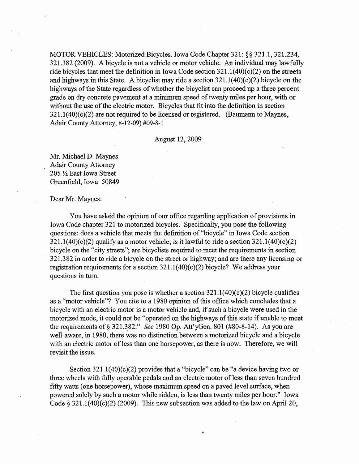MOTOR VEHICLES: Motorized Bicycles. Iowa Code Chapter 321: §§ 321.1, 321.234,  $321.382$  (2009). A bicycle is not a vehicle or motor vehicle. An individual may lawfully ride bicycles that meet the definition in Iowa Code section  $321.1(40)(c)(2)$  on the streets and highways in this State. A bicyclist may ride a section  $321.1(40)(c)(2)$  bicycle on the highways of the State regardless of whether the bicyclist can proceed up a three percent grade on dry concrete pavement at a minimum speed of twenty miles per hour, with or without the use of the electric motor. Bicycles that fit into the definition in section  $321.1(40)(c)(2)$  are not required to be licensed or registered. (Baumann to Maynes, Adair County Attorney, 8-12-09) #09-8-1

#### August 12,2009

Mr. Michael D. Maynes . Adair County Attorney  $205 \frac{1}{2}$  East Iowa Street Greenfield, Iowa 50849

#### Dear Mr. Maynes:

You have asked the opinion of our office regarding application of provisions in Iowa Code chapter 321 to motorized bicycles. Specificaliy, you pose the following questions; does a vehicle that meets the definition of "bicycle" in Iowa Code section  $321.1(40)(c)(2)$  qualify as a motor vehicle; is it lawful to ride a section  $321.1(40)(c)(2)$ bicycle on the "city streets"; are bicyclists required to meet the requirements in section 321.3 82 in order to ride a bicycle on the street or highway; and are there any licensing or registration requirements for a section  $321.1(40)(c)(2)$  bicycle? We address your questions in turn.

The first question you pose is whether a section  $321.1(40)(c)(2)$  bicycle qualifies as a "motor vehicle"? You cite to a 1980 opinion of this office which concludes that a bicycle with an electric motor is a motor vehicle and, if such a bicycle were used in the motorized mode, it could not be "operated on the highways of this state if unable to meet the requirements of § 321.382." *See* 1980 Op. Att'yGen. 801 (#80-8-14). As you are well-aware, in 1980, there was no distinction between a motorized bicycle and a bicycle with an electric motor of less than one horsepower, as there is now. Therefore, we will revisit the issue.

Section  $321.1(40)(c)(2)$  provides that a "bicycle" can be "a device having two or three wheels with fully operable pedals and an electric motor of less than seven hundred fifty watts ( one horsepower), whose maximum speed on a paved level surface, when powered solely by such a motor while ridden, is less than twenty miles per hour." Iowa Code  $\S 321.1(40)(c)(2)(2009)$ . This new subsection was added to the law on April 20,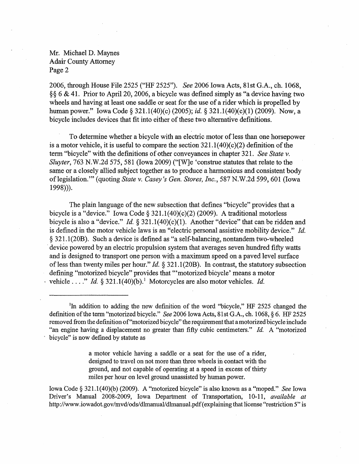2006, through House File 2525 ("HF 2525"). *See* 2006 Iowa Acts, 81st G.A., ch. 1068, §§ 6 & 41. Prior to Apri120, 2006, a bicycle was defined simply as "a device having two wheels and having at least one saddle or seat for the use of a rider which is propelled by human power." Iowa Code § 321.1(40)(c) (2005); *id,* § 321.1(40)(c)(1) (2009). Now, a bicycle includes devices that fit into either of these two alternative definitions.

To determine whether a bicycle with an electric motor of less than one horsepower is a motor vehicle, it is useful to compare the section  $321.1(40)(c)(2)$  definition of the term "bicycle" with the definitions of other conveyances in chapter 321. *See State v.*  Sluyter, 763 N.W.2d 575, 581 (Iowa 2009) ("[W]e 'construe statutes that relate to the same or a closely allied subject together as to produce a harmonious and consistent body of legislation.'" (quoting *State* v. *Casey's Gen. Stores, Inc.,* 587 N.W.2d 599, 601 (Iowa 1998»).

The plain language of the new subsection that defines "bicycle" provides that a bicycle is a "device." Iowa Code § 321.1(40)(c)(2) (2009). A traditional motorless bicycle is also a "device." *Id.* § 321.1(40)(c)(1). Another "device" that can be ridden and is defined in the motor vehicle laws is an "electric personal assistive mobility device." *ld.*  § 321.1(20B). Such a device is defined as "a self-balancing, nontandem two~wheeled device powered by an electric propulsion system that averages seven hundred fifty watts and is designed to transport one person with a maximum speed on a paved level surface of less than twenty miles per hour." *ld.* § 321.1(20B). In contrast, the statutory subsection defining "motorized bicycle" provides that "'motorized bicycle' means a motor vehicle . . . " *Id.* § 321.1(40)(b).<sup>1</sup> Motorcycles are also motor vehicles. *Id.* 

<sup>1</sup>In addition to adding the new definition of the word "bicycle," HF 2525 changed the definition of the term "motorized bicycle." *See* 2006 Iowa Acts, 81st G.A., ch. 1068, § 6. HF 2525 removed from the definition of"motorized bicycle" the requirement that a motorized bicycle include "an engine having a displacement no greater than fifty cubic centimeters." *Id.* A "motorized . bicycle" is now defined by statute as

> a motor vehicle having a saddle or a seat for the use of a rider, designed to travel on not more than three wheels in contact with the ground, and not capable of operating at a speed in excess of thirty miles per hour on level ground unassisted by human power.

Iowa Code § 321.1(40)(b) (2009). A "motorized bicycle" is also known as a "moped." *See* Iowa Driver's Manual 2008-2009, Iowa Departtnent of Transportation, 10~11, *available at*  http://www.iowadot.gov/mvd/ods/dlmanual/dlmanual.pdf(explaining that license "restriction 5" is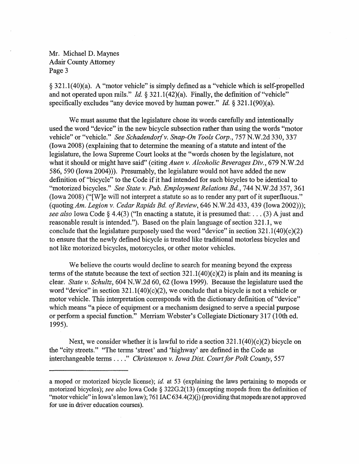§ 321.1(40)(a). A "motor vehicle" is simply defined as a "vehicle which is self-propelled and not operated upon rails." *Id.* § 321.1(42)(a). Finally, the definition of "vehicle" specifically excludes "any device moved by human power." *Id.* § 321.1(90)(a).

We must assume that the legislature chose its words carefully and intentionally used the word "device" in the new bicycle subsection rather than using the words "motor vehicle" or "vehicle." *See Schadendorf v. Snap-On Tools Corp.*, 757 N.W.2d 330, 337 (Iowa 2008) (explaining that to determine the meaning of a statute and intent of the legislature, the Iowa Supreme Court looks at the "words chosen by the legislature, not what it should or might have said" (citing *Auen v. Alcoholic Beverages Div.,* 679 N.W.2d 586, 590 (Iowa 2004))). Presumably, the legislature would not have added the new definition of "bicycle" to the Code if it had intended for such bicycles to be identical to "motorized bicycles." *See State v. Pub. Employment Relations Rd.,* 744 N.W.2d 357,361  $(10wa 2008)$  ("[W]e will not interpret a statute so as to render any part of it superfluous." (quoting *Am. Legion v. Cedar Rapids Bd. of Review*, 646 N.W.2d 433, 439 (Iowa 2002)); *see also* Iowa Code § 4.4(3) ("In enacting a statute, it is presumed that: ... (3) A just and reasonable result is intended."). Based on the plain language of section 321.1, we conclude that the legislature purposely used the word "device" in section  $321.1(40)(c)(2)$ to ensure that the newly defined bicycle is treated like traditional motorless bicycles and not like motorized bicycles, motorcycles, or other motor vehicles.

We believe the courts would decline to search for meaning beyond the express terms of the statute because the text of section  $321.1 (40)(c) (2)$  is plain and its meaning is clear. *State* v. *Schultz,* 604 N.W.2d 60, 62 (Iowa 1999). Because the legislature used the word "device" in section  $321.1(40)(c)(2)$ , we conclude that a bicycle is not a vehicle or motor vehicle. This interpretation corresponds with the dictionary definition of "device" which means "a piece of equipment or a mechanism designed to serve a special purpose or perfonn a special function." Merriam Webster's Collegiate Dictionary 317 (10th ed. 1995).

Next, we consider whether it is lawful to ride a section  $321.1(40)(c)(2)$  bicycle on the "city streets." "The tenns 'street' and 'highway' are defined in the Code as interchangeable terms ...." *Christenson v. Iowa Dist. Court for Polk County*, 557

a moped or motorized bicycle license); *id.* at 53 (explaining the laws pertaining to mopeds or motorized bicycles); *see also* Iowa Code § 322G.2(13) (excepting mopeds from the definition of "motor vehicle" in Iowa's lemon law); 761 IAC 634.4(2)(j) (providing that mopeds are not approved for use in driver education courses).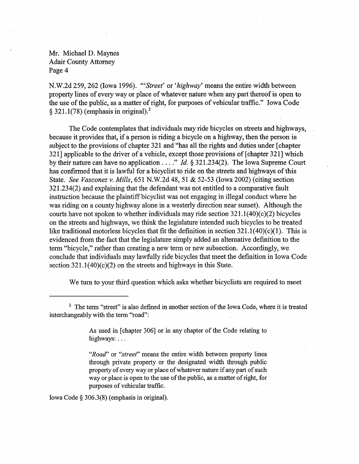N.W.2d 259,262 (Iowa 1996). *'''Street'* or *'highway'* means the entire width between property lines of every way or place of whatever nature when any part thereof is open to the use of the public, as a matter of right, for purposes of vehicular traffic." Iowa Code  $§$  321.1(78) (emphasis in original).<sup>2</sup>

The Code contemplates that individuals may ride bicycles on streets and highways, because it provides that, if a person is riding a bicycle on a highway, then the person is subject to the provisions of chapter 321 and "has all the rights and duties under [chapter 321] applicable to the driver of a vehicle, except those provisions of [chapter 321] which by their nature can have no application .... " *ld.* § 321.234(2). The Iowa Supreme Court has confirmed that it is lawful for a bicyclist to ride on the streets and highways of this State. *See Vasconez v. Mills,* 651 N.W.2d 48,51 & 52-53 (Iowa 2002) (citing section 321.234(2) and explaining that the defendant was not entitled to a comparative fault instruction because the plaintiff bicyclist was not engaging in illegal conduct where he was riding on a county highway alone in a westerly direction near sunset). Although the courts have not spoken to whether individuals may ride section  $321.1(40)(c)(2)$  bicycles on the streets and highways, we think the legislature intended such bicycles to be treated like traditional motorless bicycles that fit the definition in section 321.1(40)(c)(1). This is evidenced from the fact that the legislature simply added an alternative definition to the term "bicycle," rather than creating a new term or new subsection. Accordingly, we conclude that individuals may lawfully ride bicycles that meet the definition in Iowa Code section  $321.1(40)(c)(2)$  on the streets and highways in this State.

We turn to your third question which asks whether bicyclists are required to meet

As used in [chapter 306] or in any chapter of the Code relating to highways: ...

*"Road"* or *"street'"* means the entire width between property lines through private property or the designated width through public property of every way or place of whatever nature if any part of such way or place is open to the use of the public, as a matter of right, for purposes of vehicular traffic.

Iowa Code § 306.3(8) (emphasis in original).

<sup>&</sup>lt;sup>2</sup> The term "street" is also defined in another section of the Iowa Code, where it is treated interchangeably with the term "road":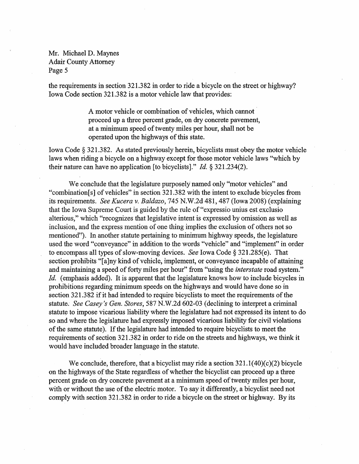the requirements in section 321.382 in order to ride a bicycle on the street or highway? Iowa Code section 321.382 is a motor vehicle law that provides:

> A motor vehicle or combination of vehicles, which cannot ' proceed up a three percent grade, on dry concrete pavement, at a minimum speed of twenty miles per hour, shall not be operated upon the highways of this state.

Iowa Code § 321.382. As stated previously herein, bicyclists must obey the motor vehicle laws when riding a bicycle on a highway except for those motor vehicle laws "which by their nature can have no application [to bicyclists]." *ld.* § 321.234(2).

We conclude that the legislature purposely named only "motor vehicles" and "combination[s] of vehicles" in section 321.382 with the intent to exclude bicycles from its requirements. *See Kucera v. Baldazo,* 745 N.W.2d 481, 487 (Iowa 2008) (explaining that the Iowa Supreme Court is guided by the rule of "expressio unius est exclusio alterious," which "recognizes that legislative intent is expressed by omission as well as inclusion, and the express mention of one thing implies the exclusion of others not so mentioned'?). In another statute pertaining to minimum highway speeds, the legislature used the word "conveyance" in addition to the words "vehicle" and "implement" in order to encompass all types of slow-moving devices. *See* Iowa Code § 321.285(e). That section prohibits "[a]ny kind of vehicle, implement, or conveyance incapable of attaining and maintaining a speed of forty miles per hour" from "using the *interstate* road system." *ld.* (emphasis added). It is apparent that the legislature knows how to include bicycles in prohibitions regarding minimum speeds on the highways and would have done so in section 321.382 if it had intended to require bicyclists to meet the requirements of the statute,' *See Casey's Gen. Stores,* 587 N.W.2d 602-03 (declining to interpret a criminal statute to impose vicarious liability where the legislature had not expressed its intent to do so and where the legislature had expressly imposed vicarious liability for civil violations of the same statute). If the legislature had intended to require bicyclists to meet the requirements of section 321.382 in order to ride on the streets and highways, we think it would have included broader language in the statute.

We conclude, therefore, that a bicyclist may ride a section  $321.1(40)(c)(2)$  bicycle on the highways of the State regardless of whether the bicyclist can proceed up a three percent grade on dry concrete pavement at a minimum speed of twenty miles per hour, with or without the use of the electric motor. To say it differently, a bicyclist need not comply with section 321.382 in order to ride a bicycle on the street or highway. By its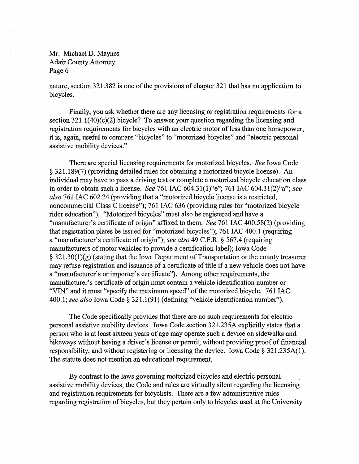nature, section 321.382 is one of the provisions of chapter 321 that has no application to bicycles.

Finally, you ask whether there are any licensing or registration requirements for a section  $321.1(40)(c)(2)$  bicycle? To answer your question regarding the licensing and registration requirements for bicycles with an electric motor of less than one horsepower, it is, again, useful to compare "bicycles" to "motorized bicycles" and "electric personal assistive mobility devices."

There are special licensing requirements for motorized bicycles. *See* Iowa Code § 321.189(7) (providing detailed rules for obtaining a motorized bicycle license). An individual may have to pass a driving test or complete a motorized bicycle education class in order to obtain such a license. *See* 761 lAC 604.31(1)"e"; 761 lAC 604.31(2)"a"; *see also* 761 lAC 602.24 (providing that a "motorized bicycle license is a restricted, noncommercial Class C license"); 761 lAC 636 (providing rules for "motorized bicycle rider education"). "Motorized bicycles" must also be registered and have a "manufacturer's certificate of origin" affixed to them. *See* 761 lAC 400.58(2) (providing that registration plates be issued for "motorized bicycles"); 761 lAC 400.1 (requiring a "manufacturer's certificate of origin;'); *see also* 49 C.F.R. § 567.4 (requiring manufacturers of motor vehicles to provide a certification label); Iowa Code  $\S 321.30(1)(g)$  (stating that the Iowa Department of Transportation or the county treasurer may refuse registration and issuance of a certificate of title if a new vehicle does not have a "manufacturer's or importer's certificate"). Among other requirements, the manufacturer's certificate of origin must contain a vehicle identification number or "VIN" and it must "specify the maximum speed" of the motorized bicycle. 761 IAC *400.1; see also* Iowa Code § 321.1(91) (defining "vehicle identification number").

The Code specifically provides that there are no such requirements for electric personal assistive mobility devices. Iowa Code section 321.235A explicitly states that a person who is at least sixteen years of age may operate such a device on sidewalks and bikeways without having a driver's license or pennit, without providing proof of financial responsibility, and without registering or licensing the device. Iowa Code § 321.235A(1). The statute does not mention an educational requirement.

By contrast to the laws governing motorized bicycles and electric personal assistive mobility devices, the Code and rules are virtually silent regarding the licensing and registration requirements for bicyclists. There are a few administrative rules regarding registration of bicycles, but they pertain only to bicycles used at the University